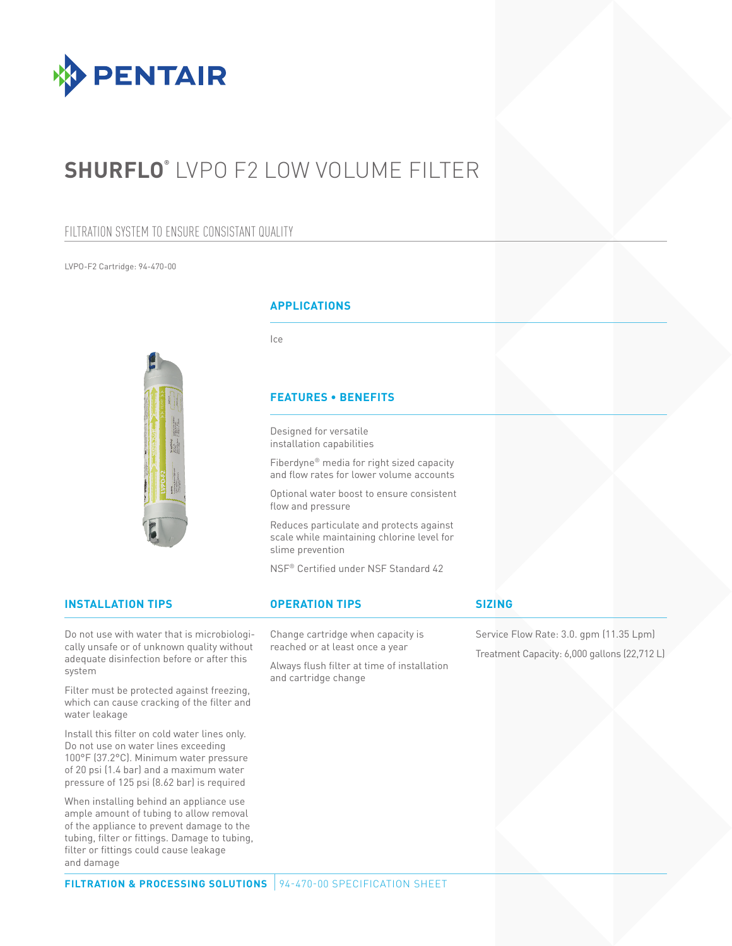

# **SHURFLO®** LVPO F2 LOW VOLUME FILTER

### FILTRATION SYSTEM TO ENSURE CONSISTANT QUALITY

LVPO-F2 Cartridge: 94-470-00

### **APPLICATIONS**

Ice

### **FEATURES • BENEFITS**

Designed for versatile installation capabilities

Fiberdyne® media for right sized capacity and flow rates for lower volume accounts

Optional water boost to ensure consistent flow and pressure

Reduces particulate and protects against scale while maintaining chlorine level for slime prevention

NSF® Certified under NSF Standard 42

### **INSTALLATION TIPS OPERATION TIPS**

Do not use with water that is microbiologically unsafe or of unknown quality without adequate disinfection before or after this system

Filter must be protected against freezing, which can cause cracking of the filter and water leakage

Install this filter on cold water lines only. Do not use on water lines exceeding 100°F (37.2°C). Minimum water pressure of 20 psi (1.4 bar) and a maximum water pressure of 125 psi (8.62 bar) is required

When installing behind an appliance use ample amount of tubing to allow removal of the appliance to prevent damage to the tubing, filter or fittings. Damage to tubing, filter or fittings could cause leakage and damage

Change cartridge when capacity is reached or at least once a year

> Always flush filter at time of installation and cartridge change

#### **SIZING**

Service Flow Rate: 3.0. gpm (11.35 Lpm) Treatment Capacity: 6,000 gallons (22,712 L)